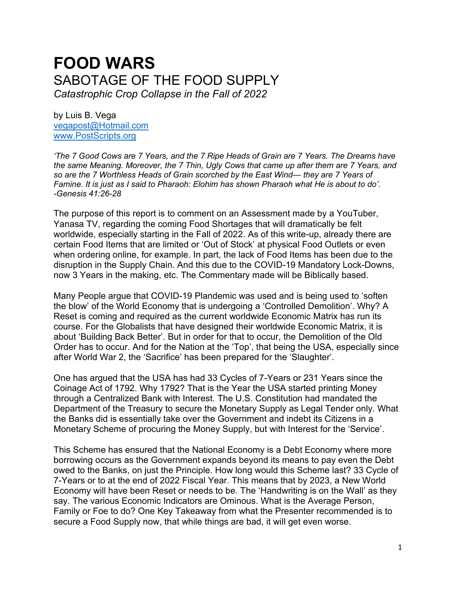# **FOOD WARS** SABOTAGE OF THE FOOD SUPPLY *Catastrophic Crop Collapse in the Fall of 2022*

by Luis B. Vega [vegapost@Hotmail.com](mailto:vegapost@Hotmail.com) [www.PostScripts.org](http://www.postscripts.org/)

*'The 7 Good Cows are 7 Years, and the 7 Ripe Heads of Grain are 7 Years. The Dreams have the same Meaning. Moreover, the 7 Thin, Ugly Cows that came up after them are 7 Years, and so are the 7 Worthless Heads of Grain scorched by the East Wind— they are 7 Years of Famine. It is just as I said to Pharaoh: Elohim has shown Pharaoh what He is about to do'. -Genesis 41:26-28*

The purpose of this report is to comment on an Assessment made by a YouTuber, Yanasa TV, regarding the coming Food Shortages that will dramatically be felt worldwide, especially starting in the Fall of 2022. As of this write-up, already there are certain Food Items that are limited or 'Out of Stock' at physical Food Outlets or even when ordering online, for example. In part, the lack of Food Items has been due to the disruption in the Supply Chain. And this due to the COVID-19 Mandatory Lock-Downs, now 3 Years in the making, etc. The Commentary made will be Biblically based.

Many People argue that COVID-19 Plandemic was used and is being used to 'soften the blow' of the World Economy that is undergoing a 'Controlled Demolition'. Why? A Reset is coming and required as the current worldwide Economic Matrix has run its course. For the Globalists that have designed their worldwide Economic Matrix, it is about 'Building Back Better'. But in order for that to occur, the Demolition of the Old Order has to occur. And for the Nation at the 'Top', that being the USA, especially since after World War 2, the 'Sacrifice' has been prepared for the 'Slaughter'.

One has argued that the USA has had 33 Cycles of 7-Years or 231 Years since the Coinage Act of 1792. Why 1792? That is the Year the USA started printing Money through a Centralized Bank with Interest. The U.S. Constitution had mandated the Department of the Treasury to secure the Monetary Supply as Legal Tender only. What the Banks did is essentially take over the Government and indebt its Citizens in a Monetary Scheme of procuring the Money Supply, but with Interest for the 'Service'.

This Scheme has ensured that the National Economy is a Debt Economy where more borrowing occurs as the Government expands beyond its means to pay even the Debt owed to the Banks, on just the Principle. How long would this Scheme last? 33 Cycle of 7-Years or to at the end of 2022 Fiscal Year. This means that by 2023, a New World Economy will have been Reset or needs to be. The 'Handwriting is on the Wall' as they say. The various Economic Indicators are Ominous. What is the Average Person, Family or Foe to do? One Key Takeaway from what the Presenter recommended is to secure a Food Supply now, that while things are bad, it will get even worse.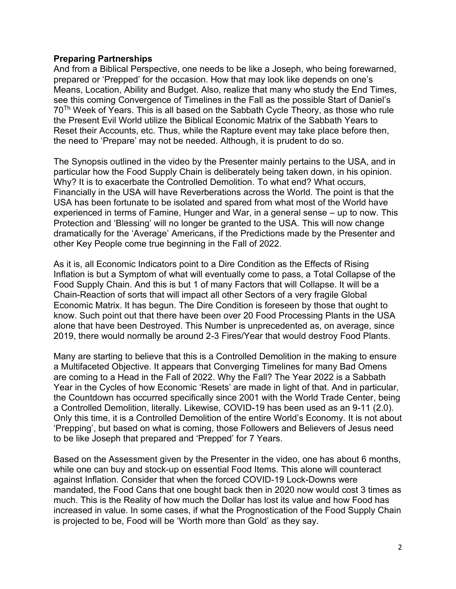# **Preparing Partnerships**

And from a Biblical Perspective, one needs to be like a Joseph, who being forewarned, prepared or 'Prepped' for the occasion. How that may look like depends on one's Means, Location, Ability and Budget. Also, realize that many who study the End Times, see this coming Convergence of Timelines in the Fall as the possible Start of Daniel's 70Th Week of Years. This is all based on the Sabbath Cycle Theory, as those who rule the Present Evil World utilize the Biblical Economic Matrix of the Sabbath Years to Reset their Accounts, etc. Thus, while the Rapture event may take place before then, the need to 'Prepare' may not be needed. Although, it is prudent to do so.

The Synopsis outlined in the video by the Presenter mainly pertains to the USA, and in particular how the Food Supply Chain is deliberately being taken down, in his opinion. Why? It is to exacerbate the Controlled Demolition. To what end? What occurs, Financially in the USA will have Reverberations across the World. The point is that the USA has been fortunate to be isolated and spared from what most of the World have experienced in terms of Famine, Hunger and War, in a general sense – up to now. This Protection and 'Blessing' will no longer be granted to the USA. This will now change dramatically for the 'Average' Americans, if the Predictions made by the Presenter and other Key People come true beginning in the Fall of 2022.

As it is, all Economic Indicators point to a Dire Condition as the Effects of Rising Inflation is but a Symptom of what will eventually come to pass, a Total Collapse of the Food Supply Chain. And this is but 1 of many Factors that will Collapse. It will be a Chain-Reaction of sorts that will impact all other Sectors of a very fragile Global Economic Matrix. It has begun. The Dire Condition is foreseen by those that ought to know. Such point out that there have been over 20 Food Processing Plants in the USA alone that have been Destroyed. This Number is unprecedented as, on average, since 2019, there would normally be around 2-3 Fires/Year that would destroy Food Plants.

Many are starting to believe that this is a Controlled Demolition in the making to ensure a Multifaceted Objective. It appears that Converging Timelines for many Bad Omens are coming to a Head in the Fall of 2022. Why the Fall? The Year 2022 is a Sabbath Year in the Cycles of how Economic 'Resets' are made in light of that. And in particular, the Countdown has occurred specifically since 2001 with the World Trade Center, being a Controlled Demolition, literally. Likewise, COVID-19 has been used as an 9-11 (2.0). Only this time, it is a Controlled Demolition of the entire World's Economy. It is not about 'Prepping', but based on what is coming, those Followers and Believers of Jesus need to be like Joseph that prepared and 'Prepped' for 7 Years.

Based on the Assessment given by the Presenter in the video, one has about 6 months, while one can buy and stock-up on essential Food Items. This alone will counteract against Inflation. Consider that when the forced COVID-19 Lock-Downs were mandated, the Food Cans that one bought back then in 2020 now would cost 3 times as much. This is the Reality of how much the Dollar has lost its value and how Food has increased in value. In some cases, if what the Prognostication of the Food Supply Chain is projected to be, Food will be 'Worth more than Gold' as they say.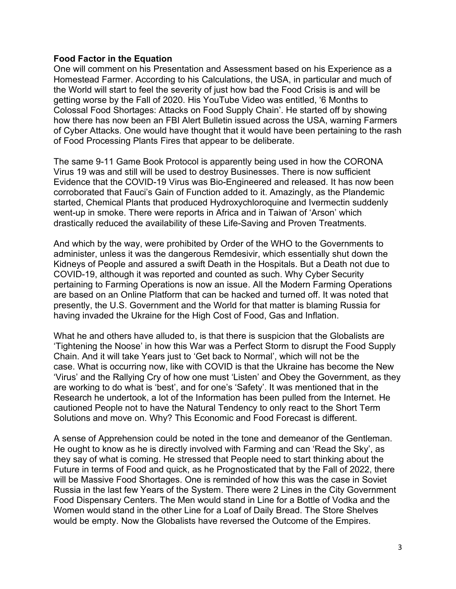# **Food Factor in the Equation**

One will comment on his Presentation and Assessment based on his Experience as a Homestead Farmer. According to his Calculations, the USA, in particular and much of the World will start to feel the severity of just how bad the Food Crisis is and will be getting worse by the Fall of 2020. His YouTube Video was entitled, '6 Months to Colossal Food Shortages: Attacks on Food Supply Chain'. He started off by showing how there has now been an FBI Alert Bulletin issued across the USA, warning Farmers of Cyber Attacks. One would have thought that it would have been pertaining to the rash of Food Processing Plants Fires that appear to be deliberate.

The same 9-11 Game Book Protocol is apparently being used in how the CORONA Virus 19 was and still will be used to destroy Businesses. There is now sufficient Evidence that the COVID-19 Virus was Bio-Engineered and released. It has now been corroborated that Fauci's Gain of Function added to it. Amazingly, as the Plandemic started, Chemical Plants that produced Hydroxychloroquine and Ivermectin suddenly went-up in smoke. There were reports in Africa and in Taiwan of 'Arson' which drastically reduced the availability of these Life-Saving and Proven Treatments.

And which by the way, were prohibited by Order of the WHO to the Governments to administer, unless it was the dangerous Remdesivir, which essentially shut down the Kidneys of People and assured a swift Death in the Hospitals. But a Death not due to COVID-19, although it was reported and counted as such. Why Cyber Security pertaining to Farming Operations is now an issue. All the Modern Farming Operations are based on an Online Platform that can be hacked and turned off. It was noted that presently, the U.S. Government and the World for that matter is blaming Russia for having invaded the Ukraine for the High Cost of Food, Gas and Inflation.

What he and others have alluded to, is that there is suspicion that the Globalists are 'Tightening the Noose' in how this War was a Perfect Storm to disrupt the Food Supply Chain. And it will take Years just to 'Get back to Normal', which will not be the case. What is occurring now, like with COVID is that the Ukraine has become the New 'Virus' and the Rallying Cry of how one must 'Listen' and Obey the Government, as they are working to do what is 'best', and for one's 'Safety'. It was mentioned that in the Research he undertook, a lot of the Information has been pulled from the Internet. He cautioned People not to have the Natural Tendency to only react to the Short Term Solutions and move on. Why? This Economic and Food Forecast is different.

A sense of Apprehension could be noted in the tone and demeanor of the Gentleman. He ought to know as he is directly involved with Farming and can 'Read the Sky', as they say of what is coming. He stressed that People need to start thinking about the Future in terms of Food and quick, as he Prognosticated that by the Fall of 2022, there will be Massive Food Shortages. One is reminded of how this was the case in Soviet Russia in the last few Years of the System. There were 2 Lines in the City Government Food Dispensary Centers. The Men would stand in Line for a Bottle of Vodka and the Women would stand in the other Line for a Loaf of Daily Bread. The Store Shelves would be empty. Now the Globalists have reversed the Outcome of the Empires.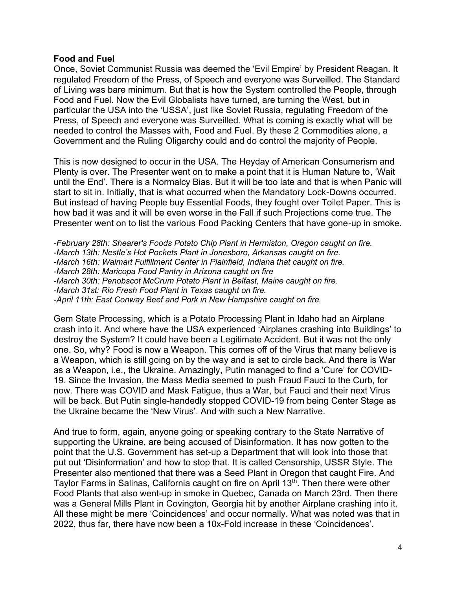# **Food and Fuel**

Once, Soviet Communist Russia was deemed the 'Evil Empire' by President Reagan. It regulated Freedom of the Press, of Speech and everyone was Surveilled. The Standard of Living was bare minimum. But that is how the System controlled the People, through Food and Fuel. Now the Evil Globalists have turned, are turning the West, but in particular the USA into the 'USSA', just like Soviet Russia, regulating Freedom of the Press, of Speech and everyone was Surveilled. What is coming is exactly what will be needed to control the Masses with, Food and Fuel. By these 2 Commodities alone, a Government and the Ruling Oligarchy could and do control the majority of People.

This is now designed to occur in the USA. The Heyday of American Consumerism and Plenty is over. The Presenter went on to make a point that it is Human Nature to, 'Wait until the End'. There is a Normalcy Bias. But it will be too late and that is when Panic will start to sit in. Initially, that is what occurred when the Mandatory Lock-Downs occurred. But instead of having People buy Essential Foods, they fought over Toilet Paper. This is how bad it was and it will be even worse in the Fall if such Projections come true. The Presenter went on to list the various Food Packing Centers that have gone-up in smoke.

*-February 28th: Shearer's Foods Potato Chip Plant in Hermiston, Oregon caught on fire. -March 13th: Nestle's Hot Pockets Plant in Jonesboro, Arkansas caught on fire. -March 16th: Walmart Fulfillment Center in Plainfield, Indiana that caught on fire. -March 28th: Maricopa Food Pantry in Arizona caught on fire -March 30th: Penobscot McCrum Potato Plant in Belfast, Maine caught on fire. -March 31st: Rio Fresh Food Plant in Texas caught on fire. -April 11th: East Conway Beef and Pork in New Hampshire caught on fire.*

Gem State Processing, which is a Potato Processing Plant in Idaho had an Airplane crash into it. And where have the USA experienced 'Airplanes crashing into Buildings' to destroy the System? It could have been a Legitimate Accident. But it was not the only one. So, why? Food is now a Weapon. This comes off of the Virus that many believe is a Weapon, which is still going on by the way and is set to circle back. And there is War as a Weapon, i.e., the Ukraine. Amazingly, Putin managed to find a 'Cure' for COVID-19. Since the Invasion, the Mass Media seemed to push Fraud Fauci to the Curb, for now. There was COVID and Mask Fatigue, thus a War, but Fauci and their next Virus will be back. But Putin single-handedly stopped COVID-19 from being Center Stage as the Ukraine became the 'New Virus'. And with such a New Narrative.

And true to form, again, anyone going or speaking contrary to the State Narrative of supporting the Ukraine, are being accused of Disinformation. It has now gotten to the point that the U.S. Government has set-up a Department that will look into those that put out 'Disinformation' and how to stop that. It is called Censorship, USSR Style. The Presenter also mentioned that there was a Seed Plant in Oregon that caught Fire. And Taylor Farms in Salinas, California caught on fire on April 13<sup>th</sup>. Then there were other Food Plants that also went-up in smoke in Quebec, Canada on March 23rd. Then there was a General Mills Plant in Covington, Georgia hit by another Airplane crashing into it. All these might be mere 'Coincidences' and occur normally. What was noted was that in 2022, thus far, there have now been a 10x-Fold increase in these 'Coincidences'.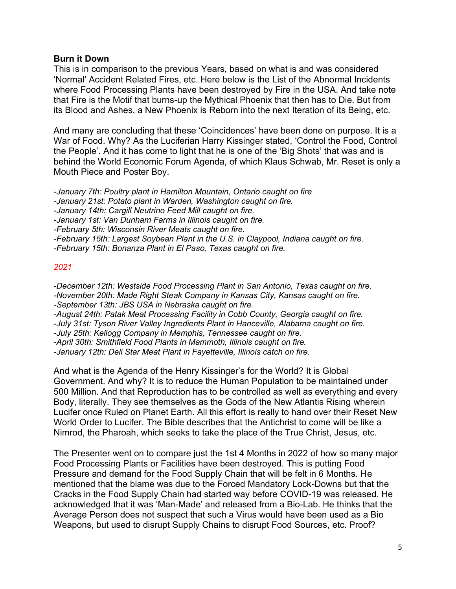# **Burn it Down**

This is in comparison to the previous Years, based on what is and was considered 'Normal' Accident Related Fires, etc. Here below is the List of the Abnormal Incidents where Food Processing Plants have been destroyed by Fire in the USA. And take note that Fire is the Motif that burns-up the Mythical Phoenix that then has to Die. But from its Blood and Ashes, a New Phoenix is Reborn into the next Iteration of its Being, etc.

And many are concluding that these 'Coincidences' have been done on purpose. It is a War of Food. Why? As the Luciferian Harry Kissinger stated, 'Control the Food, Control the People'. And it has come to light that he is one of the 'Big Shots' that was and is behind the World Economic Forum Agenda, of which Klaus Schwab, Mr. Reset is only a Mouth Piece and Poster Boy.

*-January 7th: Poultry plant in Hamilton Mountain, Ontario caught on fire -January 21st: Potato plant in Warden, Washington caught on fire. -January 14th: Cargill Neutrino Feed Mill caught on fire. -January 1st: Van Dunham Farms in Illinois caught on fire. -February 5th: Wisconsin River Meats caught on fire. -February 15th: Largest Soybean Plant in the U.S. in Claypool, Indiana caught on fire. -February 15th: Bonanza Plant in El Paso, Texas caught on fire.*

# *2021*

*-December 12th: Westside Food Processing Plant in San Antonio, Texas caught on fire. -November 20th: Made Right Steak Company in Kansas City, Kansas caught on fire. -September 13th: JBS USA in Nebraska caught on fire. -August 24th: Patak Meat Processing Facility in Cobb County, Georgia caught on fire. -July 31st: Tyson River Valley Ingredients Plant in Hanceville, Alabama caught on fire. -July 25th: Kellogg Company in Memphis, Tennessee caught on fire. -April 30th: Smithfield Food Plants in Mammoth, Illinois caught on fire. -January 12th: Deli Star Meat Plant in Fayetteville, Illinois catch on fire.*

And what is the Agenda of the Henry Kissinger's for the World? It is Global Government. And why? It is to reduce the Human Population to be maintained under 500 Million. And that Reproduction has to be controlled as well as everything and every Body, literally. They see themselves as the Gods of the New Atlantis Rising wherein Lucifer once Ruled on Planet Earth. All this effort is really to hand over their Reset New World Order to Lucifer. The Bible describes that the Antichrist to come will be like a Nimrod, the Pharoah, which seeks to take the place of the True Christ, Jesus, etc.

The Presenter went on to compare just the 1st 4 Months in 2022 of how so many major Food Processing Plants or Facilities have been destroyed. This is putting Food Pressure and demand for the Food Supply Chain that will be felt in 6 Months. He mentioned that the blame was due to the Forced Mandatory Lock-Downs but that the Cracks in the Food Supply Chain had started way before COVID-19 was released. He acknowledged that it was 'Man-Made' and released from a Bio-Lab. He thinks that the Average Person does not suspect that such a Virus would have been used as a Bio Weapons, but used to disrupt Supply Chains to disrupt Food Sources, etc. Proof?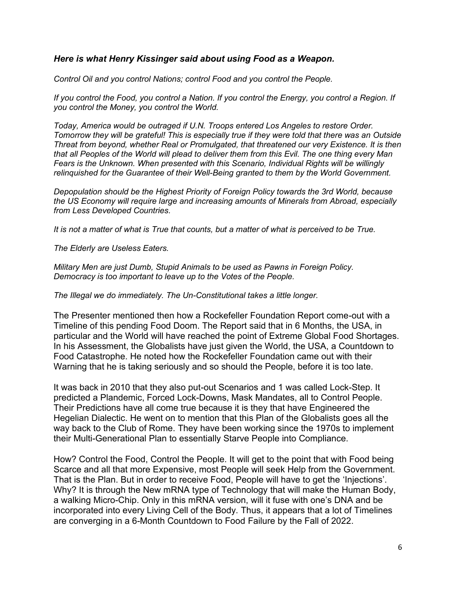# *Here is what Henry Kissinger said about using Food as a Weapon.*

*Control Oil and you control Nations; control Food and you control the People.* 

*If you control the Food, you control a Nation. If you control the Energy, you control a Region. If you control the Money, you control the World.*

*Today, America would be outraged if U.N. Troops entered Los Angeles to restore Order. Tomorrow they will be grateful! This is especially true if they were told that there was an Outside Threat from beyond, whether Real or Promulgated, that threatened our very Existence. It is then that all Peoples of the World will plead to deliver them from this Evil. The one thing every Man Fears is the Unknown. When presented with this Scenario, Individual Rights will be willingly relinquished for the Guarantee of their Well-Being granted to them by the World Government.*

*Depopulation should be the Highest Priority of Foreign Policy towards the 3rd World, because the US Economy will require large and increasing amounts of Minerals from Abroad, especially from Less Developed Countries.*

*It is not a matter of what is True that counts, but a matter of what is perceived to be True.*

*The Elderly are Useless Eaters.*

*Military Men are just Dumb, Stupid Animals to be used as Pawns in Foreign Policy. Democracy is too important to leave up to the Votes of the People.*

*The Illegal we do immediately. The Un-Constitutional takes a little longer.*

The Presenter mentioned then how a Rockefeller Foundation Report come-out with a Timeline of this pending Food Doom. The Report said that in 6 Months, the USA, in particular and the World will have reached the point of Extreme Global Food Shortages. In his Assessment, the Globalists have just given the World, the USA, a Countdown to Food Catastrophe. He noted how the Rockefeller Foundation came out with their Warning that he is taking seriously and so should the People, before it is too late.

It was back in 2010 that they also put-out Scenarios and 1 was called Lock-Step. It predicted a Plandemic, Forced Lock-Downs, Mask Mandates, all to Control People. Their Predictions have all come true because it is they that have Engineered the Hegelian Dialectic. He went on to mention that this Plan of the Globalists goes all the way back to the Club of Rome. They have been working since the 1970s to implement their Multi-Generational Plan to essentially Starve People into Compliance.

How? Control the Food, Control the People. It will get to the point that with Food being Scarce and all that more Expensive, most People will seek Help from the Government. That is the Plan. But in order to receive Food, People will have to get the 'Injections'. Why? It is through the New mRNA type of Technology that will make the Human Body, a walking Micro-Chip. Only in this mRNA version, will it fuse with one's DNA and be incorporated into every Living Cell of the Body. Thus, it appears that a lot of Timelines are converging in a 6-Month Countdown to Food Failure by the Fall of 2022.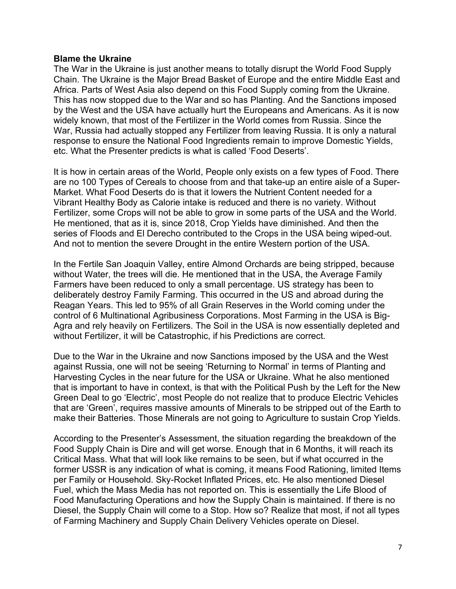#### **Blame the Ukraine**

The War in the Ukraine is just another means to totally disrupt the World Food Supply Chain. The Ukraine is the Major Bread Basket of Europe and the entire Middle East and Africa. Parts of West Asia also depend on this Food Supply coming from the Ukraine. This has now stopped due to the War and so has Planting. And the Sanctions imposed by the West and the USA have actually hurt the Europeans and Americans. As it is now widely known, that most of the Fertilizer in the World comes from Russia. Since the War, Russia had actually stopped any Fertilizer from leaving Russia. It is only a natural response to ensure the National Food Ingredients remain to improve Domestic Yields, etc. What the Presenter predicts is what is called 'Food Deserts'.

It is how in certain areas of the World, People only exists on a few types of Food. There are no 100 Types of Cereals to choose from and that take-up an entire aisle of a Super-Market. What Food Deserts do is that it lowers the Nutrient Content needed for a Vibrant Healthy Body as Calorie intake is reduced and there is no variety. Without Fertilizer, some Crops will not be able to grow in some parts of the USA and the World. He mentioned, that as it is, since 2018, Crop Yields have diminished. And then the series of Floods and El Derecho contributed to the Crops in the USA being wiped-out. And not to mention the severe Drought in the entire Western portion of the USA.

In the Fertile San Joaquin Valley, entire Almond Orchards are being stripped, because without Water, the trees will die. He mentioned that in the USA, the Average Family Farmers have been reduced to only a small percentage. US strategy has been to deliberately destroy Family Farming. This occurred in the US and abroad during the Reagan Years. This led to 95% of all Grain Reserves in the World coming under the control of 6 Multinational Agribusiness Corporations. Most Farming in the USA is Big-Agra and rely heavily on Fertilizers. The Soil in the USA is now essentially depleted and without Fertilizer, it will be Catastrophic, if his Predictions are correct.

Due to the War in the Ukraine and now Sanctions imposed by the USA and the West against Russia, one will not be seeing 'Returning to Normal' in terms of Planting and Harvesting Cycles in the near future for the USA or Ukraine. What he also mentioned that is important to have in context, is that with the Political Push by the Left for the New Green Deal to go 'Electric', most People do not realize that to produce Electric Vehicles that are 'Green', requires massive amounts of Minerals to be stripped out of the Earth to make their Batteries. Those Minerals are not going to Agriculture to sustain Crop Yields.

According to the Presenter's Assessment, the situation regarding the breakdown of the Food Supply Chain is Dire and will get worse. Enough that in 6 Months, it will reach its Critical Mass. What that will look like remains to be seen, but if what occurred in the former USSR is any indication of what is coming, it means Food Rationing, limited Items per Family or Household. Sky-Rocket Inflated Prices, etc. He also mentioned Diesel Fuel, which the Mass Media has not reported on. This is essentially the Life Blood of Food Manufacturing Operations and how the Supply Chain is maintained. If there is no Diesel, the Supply Chain will come to a Stop. How so? Realize that most, if not all types of Farming Machinery and Supply Chain Delivery Vehicles operate on Diesel.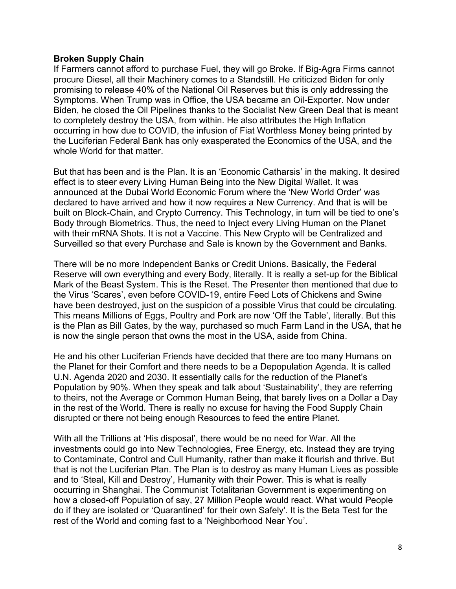# **Broken Supply Chain**

If Farmers cannot afford to purchase Fuel, they will go Broke. If Big-Agra Firms cannot procure Diesel, all their Machinery comes to a Standstill. He criticized Biden for only promising to release 40% of the National Oil Reserves but this is only addressing the Symptoms. When Trump was in Office, the USA became an Oil-Exporter. Now under Biden, he closed the Oil Pipelines thanks to the Socialist New Green Deal that is meant to completely destroy the USA, from within. He also attributes the High Inflation occurring in how due to COVID, the infusion of Fiat Worthless Money being printed by the Luciferian Federal Bank has only exasperated the Economics of the USA, and the whole World for that matter.

But that has been and is the Plan. It is an 'Economic Catharsis' in the making. It desired effect is to steer every Living Human Being into the New Digital Wallet. It was announced at the Dubai World Economic Forum where the 'New World Order' was declared to have arrived and how it now requires a New Currency. And that is will be built on Block-Chain, and Crypto Currency. This Technology, in turn will be tied to one's Body through Biometrics. Thus, the need to Inject every Living Human on the Planet with their mRNA Shots. It is not a Vaccine. This New Crypto will be Centralized and Surveilled so that every Purchase and Sale is known by the Government and Banks.

There will be no more Independent Banks or Credit Unions. Basically, the Federal Reserve will own everything and every Body, literally. It is really a set-up for the Biblical Mark of the Beast System. This is the Reset. The Presenter then mentioned that due to the Virus 'Scares', even before COVID-19, entire Feed Lots of Chickens and Swine have been destroyed, just on the suspicion of a possible Virus that could be circulating. This means Millions of Eggs, Poultry and Pork are now 'Off the Table', literally. But this is the Plan as Bill Gates, by the way, purchased so much Farm Land in the USA, that he is now the single person that owns the most in the USA, aside from China.

He and his other Luciferian Friends have decided that there are too many Humans on the Planet for their Comfort and there needs to be a Depopulation Agenda. It is called U.N. Agenda 2020 and 2030. It essentially calls for the reduction of the Planet's Population by 90%. When they speak and talk about 'Sustainability', they are referring to theirs, not the Average or Common Human Being, that barely lives on a Dollar a Day in the rest of the World. There is really no excuse for having the Food Supply Chain disrupted or there not being enough Resources to feed the entire Planet.

With all the Trillions at 'His disposal', there would be no need for War. All the investments could go into New Technologies, Free Energy, etc. Instead they are trying to Contaminate, Control and Cull Humanity, rather than make it flourish and thrive. But that is not the Luciferian Plan. The Plan is to destroy as many Human Lives as possible and to 'Steal, Kill and Destroy', Humanity with their Power. This is what is really occurring in Shanghai. The Communist Totalitarian Government is experimenting on how a closed-off Population of say, 27 Million People would react. What would People do if they are isolated or 'Quarantined' for their own Safely'. It is the Beta Test for the rest of the World and coming fast to a 'Neighborhood Near You'.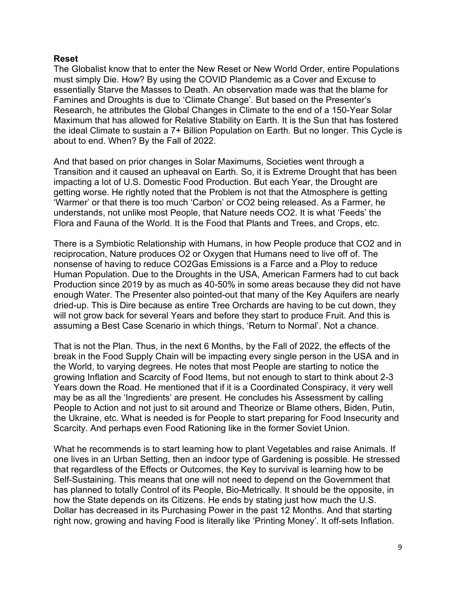# **Reset**

The Globalist know that to enter the New Reset or New World Order, entire Populations must simply Die. How? By using the COVID Plandemic as a Cover and Excuse to essentially Starve the Masses to Death. An observation made was that the blame for Famines and Droughts is due to 'Climate Change'. But based on the Presenter's Research, he attributes the Global Changes in Climate to the end of a 150-Year Solar Maximum that has allowed for Relative Stability on Earth. It is the Sun that has fostered the ideal Climate to sustain a 7+ Billion Population on Earth. But no longer. This Cycle is about to end. When? By the Fall of 2022.

And that based on prior changes in Solar Maximums, Societies went through a Transition and it caused an upheaval on Earth. So, it is Extreme Drought that has been impacting a lot of U.S. Domestic Food Production. But each Year, the Drought are getting worse. He rightly noted that the Problem is not that the Atmosphere is getting 'Warmer' or that there is too much 'Carbon' or CO2 being released. As a Farmer, he understands, not unlike most People, that Nature needs CO2. It is what 'Feeds' the Flora and Fauna of the World. It is the Food that Plants and Trees, and Crops, etc.

There is a Symbiotic Relationship with Humans, in how People produce that CO2 and in reciprocation, Nature produces O2 or Oxygen that Humans need to live off of. The nonsense of having to reduce CO2Gas Emissions is a Farce and a Ploy to reduce Human Population. Due to the Droughts in the USA, American Farmers had to cut back Production since 2019 by as much as 40-50% in some areas because they did not have enough Water. The Presenter also pointed-out that many of the Key Aquifers are nearly dried-up. This is Dire because as entire Tree Orchards are having to be cut down, they will not grow back for several Years and before they start to produce Fruit. And this is assuming a Best Case Scenario in which things, 'Return to Normal'. Not a chance.

That is not the Plan. Thus, in the next 6 Months, by the Fall of 2022, the effects of the break in the Food Supply Chain will be impacting every single person in the USA and in the World, to varying degrees. He notes that most People are starting to notice the growing Inflation and Scarcity of Food Items, but not enough to start to think about 2-3 Years down the Road. He mentioned that if it is a Coordinated Conspiracy, it very well may be as all the 'Ingredients' are present. He concludes his Assessment by calling People to Action and not just to sit around and Theorize or Blame others, Biden, Putin, the Ukraine, etc. What is needed is for People to start preparing for Food Insecurity and Scarcity. And perhaps even Food Rationing like in the former Soviet Union.

What he recommends is to start learning how to plant Vegetables and raise Animals. If one lives in an Urban Setting, then an indoor type of Gardening is possible. He stressed that regardless of the Effects or Outcomes, the Key to survival is learning how to be Self-Sustaining. This means that one will not need to depend on the Government that has planned to totally Control of its People, Bio-Metrically. It should be the opposite, in how the State depends on its Citizens. He ends by stating just how much the U.S. Dollar has decreased in its Purchasing Power in the past 12 Months. And that starting right now, growing and having Food is literally like 'Printing Money'. It off-sets Inflation.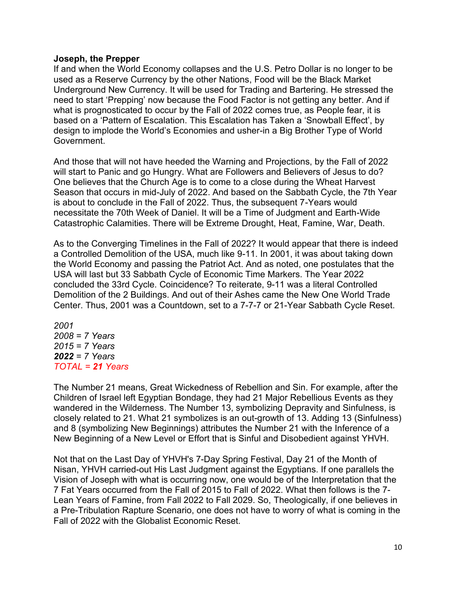# **Joseph, the Prepper**

If and when the World Economy collapses and the U.S. Petro Dollar is no longer to be used as a Reserve Currency by the other Nations, Food will be the Black Market Underground New Currency. It will be used for Trading and Bartering. He stressed the need to start 'Prepping' now because the Food Factor is not getting any better. And if what is prognosticated to occur by the Fall of 2022 comes true, as People fear, it is based on a 'Pattern of Escalation. This Escalation has Taken a 'Snowball Effect', by design to implode the World's Economies and usher-in a Big Brother Type of World Government.

And those that will not have heeded the Warning and Projections, by the Fall of 2022 will start to Panic and go Hungry. What are Followers and Believers of Jesus to do? One believes that the Church Age is to come to a close during the Wheat Harvest Season that occurs in mid-July of 2022. And based on the Sabbath Cycle, the 7th Year is about to conclude in the Fall of 2022. Thus, the subsequent 7-Years would necessitate the 70th Week of Daniel. It will be a Time of Judgment and Earth-Wide Catastrophic Calamities. There will be Extreme Drought, Heat, Famine, War, Death.

As to the Converging Timelines in the Fall of 2022? It would appear that there is indeed a Controlled Demolition of the USA, much like 9-11. In 2001, it was about taking down the World Economy and passing the Patriot Act. And as noted, one postulates that the USA will last but 33 Sabbath Cycle of Economic Time Markers. The Year 2022 concluded the 33rd Cycle. Coincidence? To reiterate, 9-11 was a literal Controlled Demolition of the 2 Buildings. And out of their Ashes came the New One World Trade Center. Thus, 2001 was a Countdown, set to a 7-7-7 or 21-Year Sabbath Cycle Reset.

*2001 2008 = 7 Years 2015 = 7 Years 2022 = 7 Years TOTAL = 21 Years*

The Number 21 means, Great Wickedness of Rebellion and Sin. For example, after the Children of Israel left Egyptian Bondage, they had 21 Major Rebellious Events as they wandered in the Wilderness. The Number 13, symbolizing Depravity and Sinfulness, is closely related to 21. What 21 symbolizes is an out-growth of 13. Adding 13 (Sinfulness) and 8 (symbolizing New Beginnings) attributes the Number 21 with the Inference of a New Beginning of a New Level or Effort that is Sinful and Disobedient against YHVH.

Not that on the Last Day of YHVH's 7-Day Spring Festival, Day 21 of the Month of Nisan, YHVH carried-out His Last Judgment against the Egyptians. If one parallels the Vision of Joseph with what is occurring now, one would be of the Interpretation that the 7 Fat Years occurred from the Fall of 2015 to Fall of 2022. What then follows is the 7- Lean Years of Famine, from Fall 2022 to Fall 2029. So, Theologically, if one believes in a Pre-Tribulation Rapture Scenario, one does not have to worry of what is coming in the Fall of 2022 with the Globalist Economic Reset.